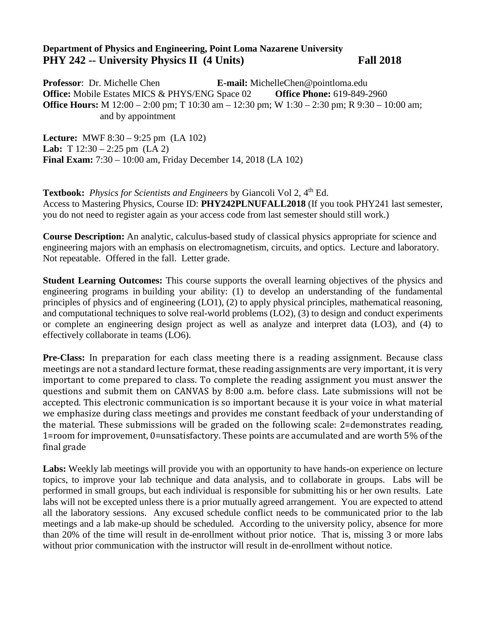## **Department of Physics and Engineering, Point Loma Nazarene University PHY 242 -- University Physics II (4 Units)** Fall 2018

**Professor**: Dr. Michelle Chen **E-mail:** MichelleChen@pointloma.edu **Office:** Mobile Estates MICS & PHYS/ENG Space 02 **Office Phone:** 619-849-2960 **Office Hours:** M 12:00 – 2:00 pm; T 10:30 am – 12:30 pm; W 1:30 – 2:30 pm; R 9:30 – 10:00 am; and by appointment

**Lecture:** MWF 8:30 – 9:25 pm (LA 102) **Lab:** T 12:30 – 2:25 pm (LA 2) **Final Exam:** 7:30 – 10:00 am, Friday December 14, 2018 (LA 102)

**Textbook:** *Physics for Scientists and Engineers* by Giancoli Vol 2, 4<sup>th</sup> Ed. Access to Mastering Physics, Course ID: **PHY242PLNUFALL2018** (If you took PHY241 last semester, you do not need to register again as your access code from last semester should still work.)

**Course Description:** An analytic, calculus-based study of classical physics appropriate for science and engineering majors with an emphasis on electromagnetism, circuits, and optics. Lecture and laboratory. Not repeatable. Offered in the fall. Letter grade.

**Student Learning Outcomes:** This course supports the overall learning objectives of the physics and engineering programs in building your ability: (1) to develop an understanding of the fundamental principles of physics and of engineering (LO1), (2) to apply physical principles, mathematical reasoning, and computational techniques to solve real-world problems (LO2), (3) to design and conduct experiments or complete an engineering design project as well as analyze and interpret data (LO3), and (4) to effectively collaborate in teams (LO6).

**Pre-Class:** In preparation for each class meeting there is a reading assignment. Because class meetings are not a standard lecture format, these reading assignments are very important, it is very important to come prepared to class. To complete the reading assignment you must answer the questions and submit them on CANVAS by 8:00 a.m. before class. Late submissions will not be accepted. This electronic communication is so important because it is your voice in what material we emphasize during class meetings and provides me constant feedback of your understanding of the material. These submissions will be graded on the following scale: 2=demonstrates reading, 1=room for improvement, 0=unsatisfactory. These points are accumulated and are worth 5% of the final grade

**Labs:** Weekly lab meetings will provide you with an opportunity to have hands-on experience on lecture topics, to improve your lab technique and data analysis, and to collaborate in groups. Labs will be performed in small groups, but each individual is responsible for submitting his or her own results. Late labs will not be excepted unless there is a prior mutually agreed arrangement. You are expected to attend all the laboratory sessions. Any excused schedule conflict needs to be communicated prior to the lab meetings and a lab make-up should be scheduled. According to the university policy, absence for more than 20% of the time will result in de-enrollment without prior notice. That is, missing 3 or more labs without prior communication with the instructor will result in de-enrollment without notice.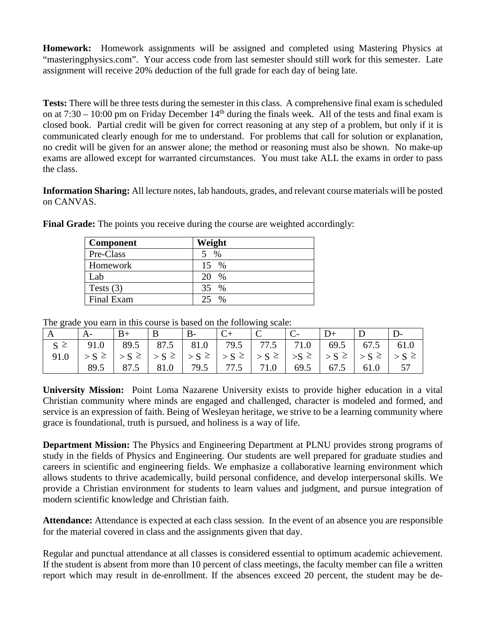**Homework:** Homework assignments will be assigned and completed using Mastering Physics at "masteringphysics.com". Your access code from last semester should still work for this semester. Late assignment will receive 20% deduction of the full grade for each day of being late.

**Tests:** There will be three tests during the semester in this class. A comprehensive final exam is scheduled on at  $7:30 - 10:00$  pm on Friday December  $14<sup>th</sup>$  during the finals week. All of the tests and final exam is closed book. Partial credit will be given for correct reasoning at any step of a problem, but only if it is communicated clearly enough for me to understand. For problems that call for solution or explanation, no credit will be given for an answer alone; the method or reasoning must also be shown. No make-up exams are allowed except for warranted circumstances. You must take ALL the exams in order to pass the class.

**Information Sharing:** All lecture notes, lab handouts, grades, and relevant course materials will be posted on CANVAS.

| Component   | Weight        |
|-------------|---------------|
| Pre-Class   | $\%$          |
| Homework    | 15 %          |
| Lab         | $\%$          |
| Tests $(3)$ | 35<br>$\%$    |
| Final Exam  | $\frac{0}{0}$ |

**Final Grade:** The points you receive during the course are weighted accordingly:

The grade you earn in this course is based on the following scale:

| A        |                                                                     |      | $\mathbf{B}$ |  |           |              |      |      |  |
|----------|---------------------------------------------------------------------|------|--------------|--|-----------|--------------|------|------|--|
| $S \geq$ | 91.0   89.5   87.5   81.0   79.5   77.5   71.0   69.5   67.5   61.0 |      |              |  |           |              |      |      |  |
| 91.0     |                                                                     |      |              |  |           |              |      |      |  |
|          | 89.5                                                                | 87.5 | $81.0$ 79.5  |  | 77.5 71.0 | $\big  69.5$ | 67.5 | 61.0 |  |

**University Mission:** Point Loma Nazarene University exists to provide higher education in a vital Christian community where minds are engaged and challenged, character is modeled and formed, and service is an expression of faith. Being of Wesleyan heritage, we strive to be a learning community where grace is foundational, truth is pursued, and holiness is a way of life.

**Department Mission:** The Physics and Engineering Department at PLNU provides strong programs of study in the fields of Physics and Engineering. Our students are well prepared for graduate studies and careers in scientific and engineering fields. We emphasize a collaborative learning environment which allows students to thrive academically, build personal confidence, and develop interpersonal skills. We provide a Christian environment for students to learn values and judgment, and pursue integration of modern scientific knowledge and Christian faith.

**Attendance:** Attendance is expected at each class session. In the event of an absence you are responsible for the material covered in class and the assignments given that day.

Regular and punctual attendance at all classes is considered essential to optimum academic achievement. If the student is absent from more than 10 percent of class meetings, the faculty member can file a written report which may result in de-enrollment. If the absences exceed 20 percent, the student may be de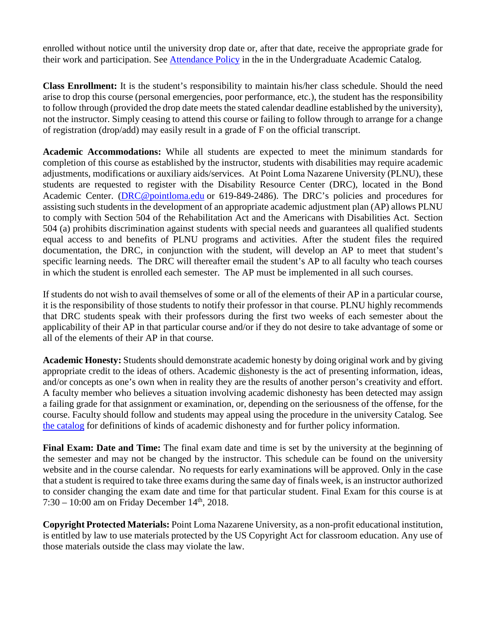enrolled without notice until the university drop date or, after that date, receive the appropriate grade for their work and participation. See **Attendance Policy** in the in the Undergraduate Academic Catalog.

**Class Enrollment:** It is the student's responsibility to maintain his/her class schedule. Should the need arise to drop this course (personal emergencies, poor performance, etc.), the student has the responsibility to follow through (provided the drop date meets the stated calendar deadline established by the university), not the instructor. Simply ceasing to attend this course or failing to follow through to arrange for a change of registration (drop/add) may easily result in a grade of F on the official transcript.

**Academic Accommodations:** While all students are expected to meet the minimum standards for completion of this course as established by the instructor, students with disabilities may require academic adjustments, modifications or auxiliary aids/services. At Point Loma Nazarene University (PLNU), these students are requested to register with the Disability Resource Center (DRC), located in the Bond Academic Center. [\(DRC@pointloma.edu](mailto:DRC@pointloma.edu) or 619-849-2486). The DRC's policies and procedures for assisting such students in the development of an appropriate academic adjustment plan (AP) allows PLNU to comply with Section 504 of the Rehabilitation Act and the Americans with Disabilities Act. Section 504 (a) prohibits discrimination against students with special needs and guarantees all qualified students equal access to and benefits of PLNU programs and activities. After the student files the required documentation, the DRC, in conjunction with the student, will develop an AP to meet that student's specific learning needs. The DRC will thereafter email the student's AP to all faculty who teach courses in which the student is enrolled each semester. The AP must be implemented in all such courses.

If students do not wish to avail themselves of some or all of the elements of their AP in a particular course, it is the responsibility of those students to notify their professor in that course. PLNU highly recommends that DRC students speak with their professors during the first two weeks of each semester about the applicability of their AP in that particular course and/or if they do not desire to take advantage of some or all of the elements of their AP in that course.

**Academic Honesty:** Students should demonstrate academic honesty by doing original work and by giving appropriate credit to the ideas of others. Academic dishonesty is the act of presenting information, ideas, and/or concepts as one's own when in reality they are the results of another person's creativity and effort. A faculty member who believes a situation involving academic dishonesty has been detected may assign a failing grade for that assignment or examination, or, depending on the seriousness of the offense, for the course. Faculty should follow and students may appeal using the procedure in the university Catalog. See [the catalog](https://catalog.pointloma.edu/content.php?catoid=28&navoid=1761#Academic_Honesty) for definitions of kinds of academic dishonesty and for further policy information.

**Final Exam: Date and Time:** The final exam date and time is set by the university at the beginning of the semester and may not be changed by the instructor. This schedule can be found on the university website and in the course calendar. No requests for early examinations will be approved. Only in the case that a student is required to take three exams during the same day of finals week, is an instructor authorized to consider changing the exam date and time for that particular student. Final Exam for this course is at 7:30 – 10:00 am on Friday December  $14<sup>th</sup>$ , 2018.

**Copyright Protected Materials:** Point Loma Nazarene University, as a non-profit educational institution, is entitled by law to use materials protected by the US Copyright Act for classroom education. Any use of those materials outside the class may violate the law.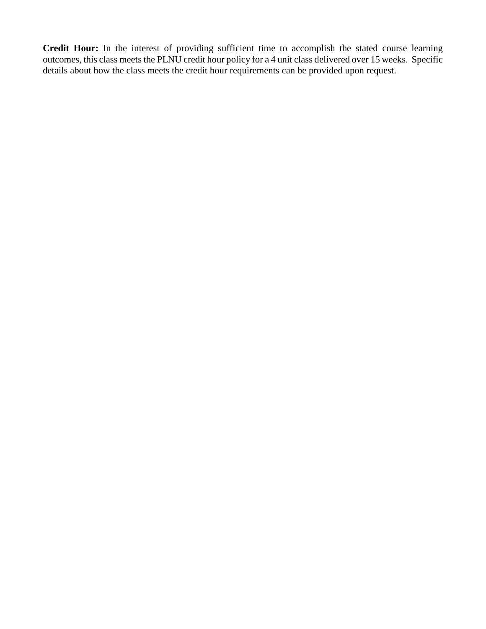**Credit Hour:** In the interest of providing sufficient time to accomplish the stated course learning outcomes, this class meets the PLNU credit hour policy for a 4 unit class delivered over 15 weeks. Specific details about how the class meets the credit hour requirements can be provided upon request.